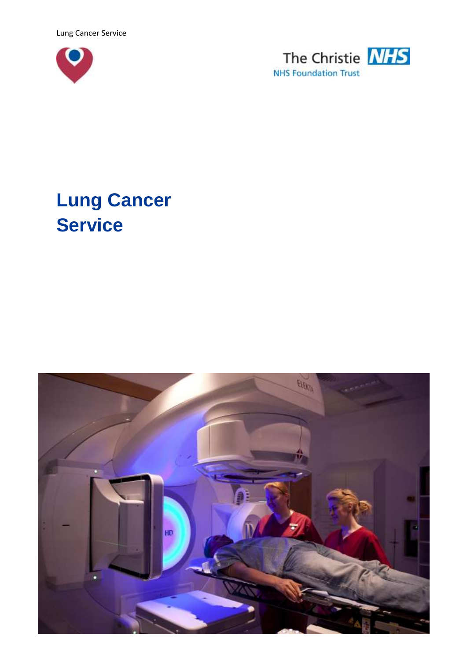Lung Cancer Service





# **Lung Cancer Service**

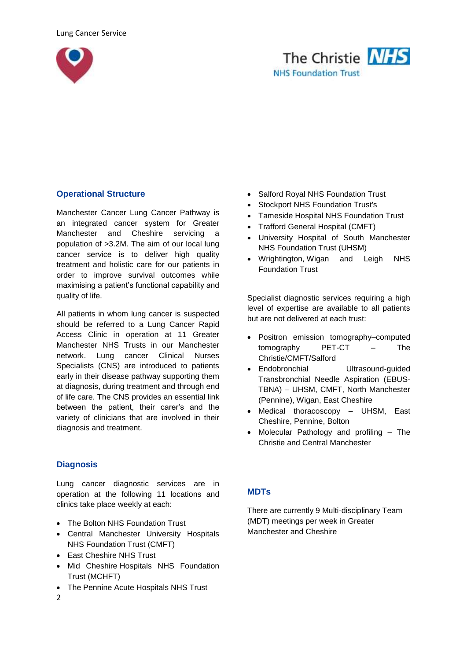



## **Operational Structure**

Manchester Cancer Lung Cancer Pathway is an integrated cancer system for Greater Manchester and Cheshire servicing a population of >3.2M. The aim of our local lung cancer service is to deliver high quality treatment and holistic care for our patients in order to improve survival outcomes while maximising a patient's functional capability and quality of life.

All patients in whom lung cancer is suspected should be referred to a Lung Cancer Rapid Access Clinic in operation at 11 Greater Manchester NHS Trusts in our Manchester network. Lung cancer Clinical Nurses Specialists (CNS) are introduced to patients early in their disease pathway supporting them at diagnosis, during treatment and through end of life care. The CNS provides an essential link between the patient, their carer's and the variety of clinicians that are involved in their diagnosis and treatment.

## **Diagnosis**

Lung cancer diagnostic services are in operation at the following 11 locations and clinics take place weekly at each:

- The Bolton NHS Foundation Trust
- Central Manchester University Hospitals NHS Foundation Trust (CMFT)
- East Cheshire NHS Trust
- Mid Cheshire Hospitals NHS Foundation Trust (MCHFT)
- The Pennine Acute Hospitals NHS Trust
- Salford Royal NHS Foundation Trust
- Stockport NHS Foundation Trust's
- Tameside Hospital NHS Foundation Trust
- Trafford General Hospital (CMFT)
- University Hospital of South Manchester NHS Foundation Trust (UHSM)
- Wrightington, Wigan and Leigh NHS Foundation Trust

Specialist diagnostic services requiring a high level of expertise are available to all patients but are not delivered at each trust:

- Positron emission tomography–computed tomography PET-CT – The Christie/CMFT/Salford
- Endobronchial Ultrasound-guided Transbronchial Needle Aspiration (EBUS-TBNA) – UHSM, CMFT, North Manchester (Pennine), Wigan, East Cheshire
- Medical thoracoscopy UHSM, East Cheshire, Pennine, Bolton
- Molecular Pathology and profiling The Christie and Central Manchester

# **MDTs**

There are currently 9 Multi-disciplinary Team (MDT) meetings per week in Greater Manchester and Cheshire

2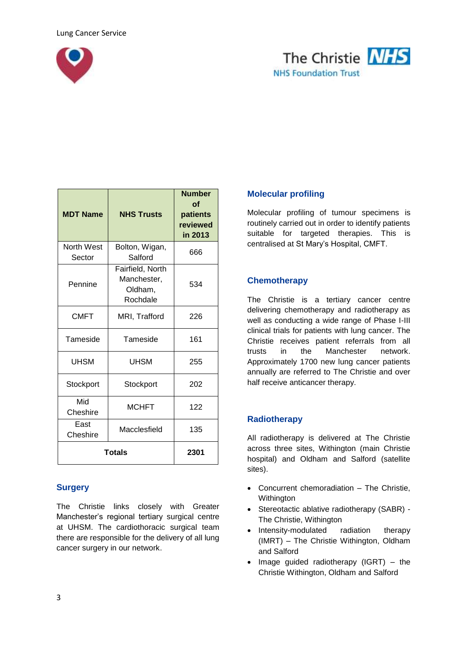



| <b>MDT Name</b>      | <b>NHS Trusts</b>                                      | <b>Number</b><br>Ωf<br>patients<br>reviewed<br>in 2013 |
|----------------------|--------------------------------------------------------|--------------------------------------------------------|
| North West<br>Sector | Bolton, Wigan,<br>Salford                              | 666                                                    |
| Pennine              | Fairfield, North<br>Manchester,<br>Oldham,<br>Rochdale | 534                                                    |
| <b>CMFT</b>          | MRI, Trafford                                          | 226                                                    |
| Tameside             | Tameside                                               | 161                                                    |
| <b>UHSM</b>          | <b>UHSM</b>                                            | 255                                                    |
| Stockport            | Stockport                                              | 202                                                    |
| Mid<br>Cheshire      | <b>MCHFT</b>                                           | 122                                                    |
| East<br>Cheshire     | Macclesfield                                           | 135                                                    |
|                      | <b>Totals</b>                                          | 2301                                                   |

## **Surgery**

The Christie links closely with Greater Manchester's regional tertiary surgical centre at UHSM. The cardiothoracic surgical team there are responsible for the delivery of all lung cancer surgery in our network.

## **Molecular profiling**

Molecular profiling of tumour specimens is routinely carried out in order to identify patients suitable for targeted therapies. This is centralised at St Mary's Hospital, CMFT.

## **Chemotherapy**

The Christie is a tertiary cancer centre delivering chemotherapy and radiotherapy as well as conducting a wide range of Phase I-III clinical trials for patients with lung cancer. The Christie receives patient referrals from all trusts in the Manchester network. Approximately 1700 new lung cancer patients annually are referred to The Christie and over half receive anticancer therapy.

#### **Radiotherapy**

All radiotherapy is delivered at The Christie across three sites, Withington (main Christie hospital) and Oldham and Salford (satellite sites).

- Concurrent chemoradiation The Christie, Withington
- Stereotactic ablative radiotherapy (SABR) The Christie, Withington
- Intensity-modulated radiation therapy (IMRT) – The Christie Withington, Oldham and Salford
- $\bullet$  Image guided radiotherapy (IGRT) the Christie Withington, Oldham and Salford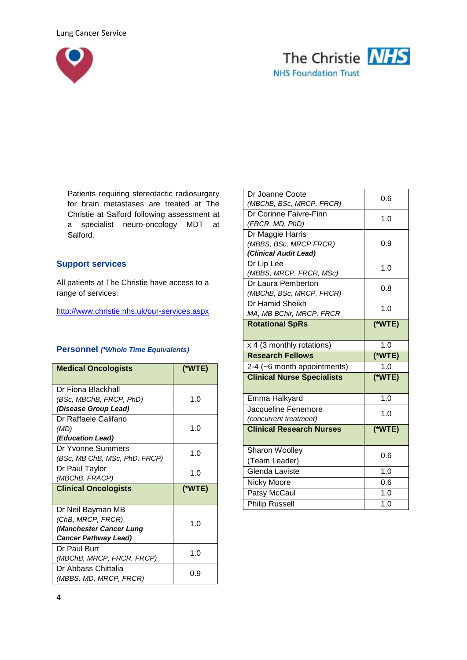



Patients requiring stereotactic radiosurgery for brain metastases are treated at The Christie at Salford following assessment at a specialist neuro-oncology MDT at Salford.

## **Support services**

All patients at The Christie have access to a range of services:

<http://www.christie.nhs.uk/our-services.aspx>

#### **Personnel** *(\*Whole Time Equivalents)*

| <b>Medical Oncologists</b>    | $(*WTE)$ |
|-------------------------------|----------|
| Dr Fiona Blackhall            |          |
| (BSc, MBChB, FRCP, PhD)       | 1.0      |
| (Disease Group Lead)          |          |
| Dr Raffaele Califano          |          |
| (MD)                          | 1.0      |
| <i>(Education Lead)</i>       |          |
| Dr Yvonne Summers             | 1.0      |
| (BSc, MB ChB, MSc, PhD, FRCP) |          |
| Dr Paul Taylor                | 1.0      |
|                               |          |
| (MBChB, FRACP)                |          |
| <b>Clinical Oncologists</b>   | (*WTE)   |
|                               |          |
| Dr Neil Bayman MB             |          |
| (ChB, MRCP, FRCR)             |          |
| (Manchester Cancer Lung       | 1.0      |
| <b>Cancer Pathway Lead)</b>   |          |
| Dr Paul Burt                  |          |
| (MBChB, MRCP, FRCR, FRCP)     | 1.0      |
| Dr Abbass Chittalia           | 0.9      |

| Dr Joanne Coote<br>(MBChB, BSc, MRCP, FRCR)                         | 0.6      |
|---------------------------------------------------------------------|----------|
| Dr Corinne Faivre-Finn<br>(FRCR, MD, PhD)                           | 1.0      |
| Dr Maggie Harris<br>(MBBS, BSc, MRCP FRCR)<br>(Clinical Audit Lead) | 0.9      |
| Dr Lip Lee<br>(MBBS, MRCP, FRCR, MSc)                               | 1.0      |
| Dr Laura Pemberton<br>(MBChB, BSc, MRCP, FRCR)                      | 0.8      |
| Dr Hamid Sheikh<br>MA, MB BChir, MRCP, FRCR                         | 1.0      |
| <b>Rotational SpRs</b>                                              | $(*WTE)$ |
| x 4 (3 monthly rotations)                                           | 1.0      |
|                                                                     |          |
| <b>Research Fellows</b>                                             | $(*WTE)$ |
| 2-4 (~6 month appointments)                                         | 1.0      |
| <b>Clinical Nurse Specialists</b>                                   | (*WTE)   |
| Emma Halkyard                                                       | 1.0      |
| Jacqueline Fenemore<br>(concurrent treatment)                       | 1.0      |
| <b>Clinical Research Nurses</b>                                     | (*WTE)   |
| <b>Sharon Woolley</b>                                               | 0.6      |
| (Team Leader)<br>Glenda Laviste                                     | 1.0      |
|                                                                     | 0.6      |
| Nicky Moore<br>Patsy McCaul                                         | 1.0      |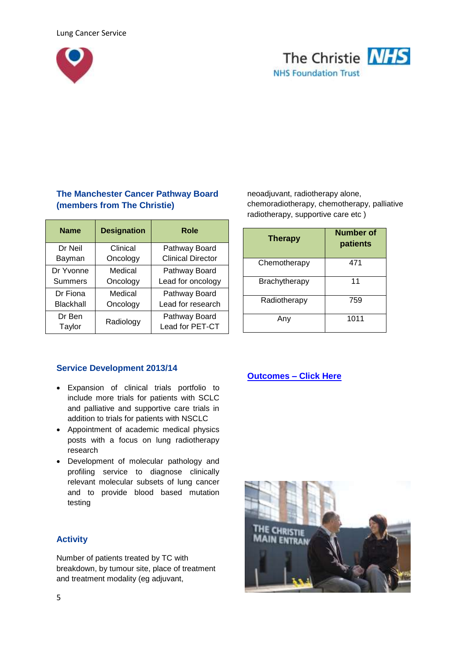



# **The Manchester Cancer Pathway Board (members from The Christie)**

| <b>Name</b>    | <b>Designation</b> | Role                     |
|----------------|--------------------|--------------------------|
| Dr Neil        | Clinical           | Pathway Board            |
| Bayman         | Oncology           | <b>Clinical Director</b> |
| Dr Yvonne      | Medical            | Pathway Board            |
| <b>Summers</b> | Oncology           | Lead for oncology        |
| Dr Fiona       | Medical            | Pathway Board            |
| Blackhall      | Oncology           | Lead for research        |
| Dr Ben         | Radiology          | Pathway Board            |
| Taylor         |                    | Lead for PET-CT          |

neoadjuvant, radiotherapy alone, chemoradiotherapy, chemotherapy, palliative radiotherapy, supportive care etc )

| <b>Therapy</b> | <b>Number of</b><br>patients |
|----------------|------------------------------|
| Chemotherapy   | 471                          |
| Brachytherapy  | 11                           |
| Radiotherapy   | 759                          |
| Anv            | 1011                         |

## **Service Development 2013/14**

- Expansion of clinical trials portfolio to include more trials for patients with SCLC and palliative and supportive care trials in addition to trials for patients with NSCLC
- Appointment of academic medical physics posts with a focus on lung radiotherapy research
- Development of molecular pathology and profiling service to diagnose clinically relevant molecular subsets of lung cancer and to provide blood based mutation testing

## **Activity**

Number of patients treated by TC with breakdown, by tumour site, place of treatment and treatment modality (eg adjuvant,

## **[Outcomes](http://www.christie.nhs.uk/our-standards/clinical-outcomes/the-christie-outcomes.aspx) – Click Here**

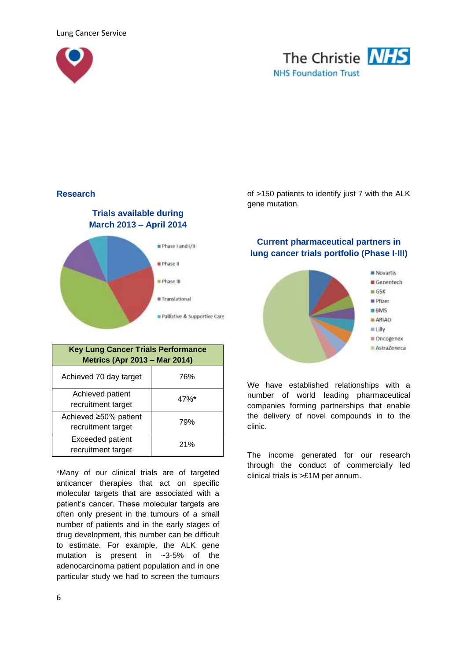



#### **Research**

## **Trials available during March 2013 – April 2014**



| <b>Key Lung Cancer Trials Performance</b><br><b>Metrics (Apr 2013 - Mar 2014)</b> |      |  |
|-----------------------------------------------------------------------------------|------|--|
| Achieved 70 day target                                                            | 76%  |  |
| Achieved patient<br>recruitment target                                            | 47%* |  |
| Achieved ≥50% patient<br>recruitment target                                       | 79%  |  |
| <b>Exceeded patient</b><br>recruitment target                                     | 21%  |  |

\*Many of our clinical trials are of targeted anticancer therapies that act on specific molecular targets that are associated with a patient's cancer. These molecular targets are often only present in the tumours of a small number of patients and in the early stages of drug development, this number can be difficult to estimate. For example, the ALK gene mutation is present in ~3-5% of the adenocarcinoma patient population and in one particular study we had to screen the tumours

of >150 patients to identify just 7 with the ALK gene mutation.

## **Current pharmaceutical partners in lung cancer trials portfolio (Phase I-III)**



We have established relationships with a number of world leading pharmaceutical companies forming partnerships that enable the delivery of novel compounds in to the clinic.

The income generated for our research through the conduct of commercially led clinical trials is >£1M per annum.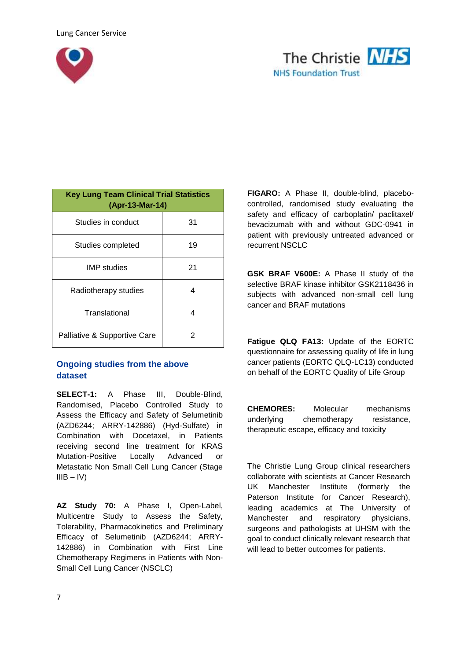



| <b>Key Lung Team Clinical Trial Statistics</b><br>(Apr-13-Mar-14) |    |
|-------------------------------------------------------------------|----|
| Studies in conduct                                                | 31 |
| Studies completed                                                 | 19 |
| IMP studies                                                       | 21 |
| Radiotherapy studies                                              | 4  |
| Translational                                                     | 4  |
| Palliative & Supportive Care                                      | 2  |

# **Ongoing studies from the above dataset**

**SELECT-1:** A Phase III, Double-Blind, Randomised, Placebo Controlled Study to Assess the Efficacy and Safety of Selumetinib (AZD6244; ARRY-142886) (Hyd-Sulfate) in Combination with Docetaxel, in Patients receiving second line treatment for KRAS Mutation-Positive Locally Advanced or Metastatic Non Small Cell Lung Cancer (Stage  $IIIB - IV$ 

**AZ Study 70:** A Phase I, Open-Label, Multicentre Study to Assess the Safety, Tolerability, Pharmacokinetics and Preliminary Efficacy of Selumetinib (AZD6244; ARRY-142886) in Combination with First Line Chemotherapy Regimens in Patients with Non-Small Cell Lung Cancer (NSCLC)

**FIGARO:** A Phase II, double-blind, placebocontrolled, randomised study evaluating the safety and efficacy of carboplatin/ paclitaxel/ bevacizumab with and without GDC-0941 in patient with previously untreated advanced or recurrent NSCLC

**GSK BRAF V600E:** A Phase II study of the selective BRAF kinase inhibitor GSK2118436 in subjects with advanced non-small cell lung cancer and BRAF mutations

**Fatigue QLQ FA13:** Update of the EORTC questionnaire for assessing quality of life in lung cancer patients (EORTC QLQ-LC13) conducted on behalf of the EORTC Quality of Life Group

**CHEMORES:** Molecular mechanisms underlying chemotherapy resistance, therapeutic escape, efficacy and toxicity

The Christie Lung Group clinical researchers collaborate with scientists at Cancer Research UK Manchester Institute (formerly the Paterson Institute for Cancer Research), leading academics at The University of Manchester and respiratory physicians, surgeons and pathologists at UHSM with the goal to conduct clinically relevant research that will lead to better outcomes for patients.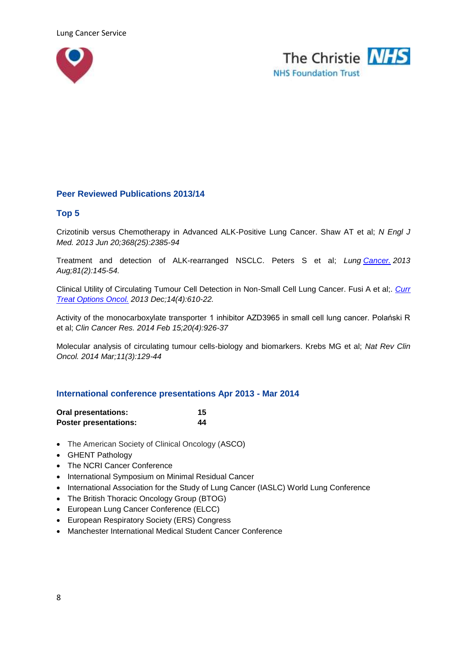



## **Peer Reviewed Publications 2013/14**

#### **Top 5**

Crizotinib versus Chemotherapy in Advanced ALK-Positive Lung Cancer. Shaw AT et al; *N Engl J Med. 2013 Jun 20;368(25):2385-94*

Treatment and detection of ALK-rearranged NSCLC. Peters S et al; *Lung [Cancer.](http://www.ncbi.nlm.nih.gov/pubmed/23769207) 2013 Aug;81(2):145-54.*

Clinical Utility of Circulating Tumour Cell Detection in Non-Small Cell Lung Cancer. Fusi A et al;. *[Curr](http://www.ncbi.nlm.nih.gov/pubmed/23996475)  [Treat Options Oncol.](http://www.ncbi.nlm.nih.gov/pubmed/23996475) 2013 Dec;14(4):610-22.*

Activity of the monocarboxylate transporter 1 inhibitor AZD3965 in small cell lung cancer. Polański R et al; *Clin Cancer Res. 2014 Feb 15;20(4):926-37*

Molecular analysis of circulating tumour cells-biology and biomarkers. Krebs MG et al; *Nat Rev Clin Oncol. 2014 Mar;11(3):129-44*

#### **International conference presentations Apr 2013 - Mar 2014**

| <b>Oral presentations:</b>   | 15 |
|------------------------------|----|
| <b>Poster presentations:</b> | 44 |

- The American Society of Clinical Oncology (ASCO)
- GHENT Pathology
- The NCRI Cancer Conference
- International Symposium on Minimal Residual Cancer
- International Association for the Study of Lung Cancer (IASLC) World Lung Conference
- [The British Thoracic Oncology Group](http://www.btog.org/) (BTOG)
- European Lung Cancer Conference (ELCC)
- European Respiratory Society (ERS) Congress
- Manchester International Medical Student Cancer Conference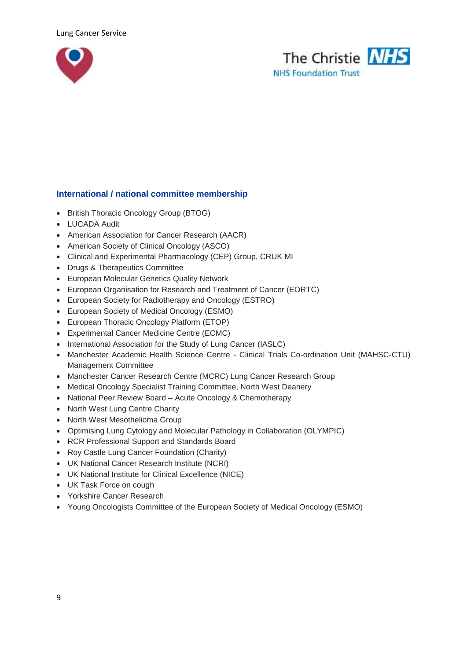



## **International / national committee membership**

- British Thoracic Oncology Group (BTOG)
- LUCADA Audit
- American Association for Cancer Research (AACR)
- American Society of Clinical Oncology (ASCO)
- Clinical and Experimental Pharmacology (CEP) Group, CRUK MI
- Drugs & Therapeutics Committee
- European Molecular Genetics Quality Network
- European Organisation for Research and Treatment of Cancer (EORTC)
- European Society for Radiotherapy and Oncology (ESTRO)
- European Society of Medical Oncology (ESMO)
- European Thoracic Oncology Platform (ETOP)
- Experimental Cancer Medicine Centre (ECMC)
- International Association for the Study of Lung Cancer (IASLC)
- Manchester Academic Health Science Centre Clinical Trials Co-ordination Unit (MAHSC-CTU) Management Committee
- Manchester Cancer Research Centre (MCRC) Lung Cancer Research Group
- Medical Oncology Specialist Training Committee, North West Deanery
- National Peer Review Board Acute Oncology & Chemotherapy
- North West Lung Centre Charity
- North West Mesothelioma Group
- Optimising Lung Cytology and Molecular Pathology in Collaboration (OLYMPIC)
- RCR Professional Support and Standards Board
- Roy Castle Lung Cancer Foundation (Charity)
- UK National Cancer Research Institute (NCRI)
- UK National Institute for Clinical Excellence (NICE)
- UK Task Force on cough
- Yorkshire Cancer Research
- Young Oncologists Committee of the European Society of Medical Oncology (ESMO)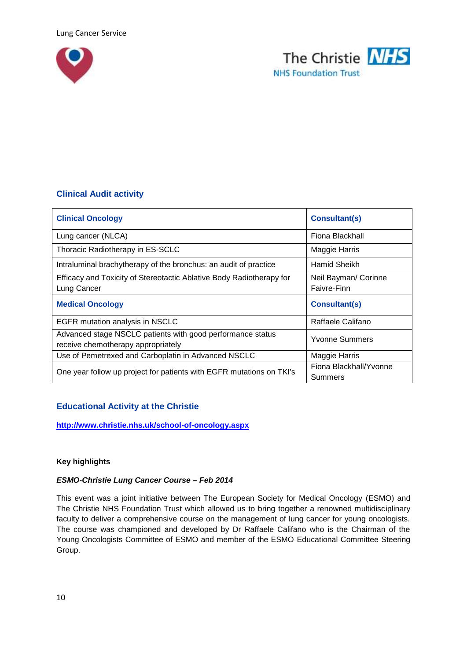



## **Clinical Audit activity**

| <b>Clinical Oncology</b>                                                                         | <b>Consultant(s)</b>                |
|--------------------------------------------------------------------------------------------------|-------------------------------------|
| Lung cancer (NLCA)                                                                               | Fiona Blackhall                     |
| Thoracic Radiotherapy in ES-SCLC                                                                 | <b>Maggie Harris</b>                |
| Intraluminal brachytherapy of the bronchus: an audit of practice                                 | Hamid Sheikh                        |
| Efficacy and Toxicity of Stereotactic Ablative Body Radiotherapy for<br>Lung Cancer              | Neil Bayman/ Corinne<br>Faivre-Finn |
| <b>Medical Oncology</b>                                                                          | <b>Consultant(s)</b>                |
| EGFR mutation analysis in NSCLC                                                                  | Raffaele Califano                   |
| Advanced stage NSCLC patients with good performance status<br>receive chemotherapy appropriately | <b>Yvonne Summers</b>               |
| Use of Pemetrexed and Carboplatin in Advanced NSCLC                                              | Maggie Harris                       |
| One year follow up project for patients with EGFR mutations on TKI's                             | Fiona Blackhall/Yvonne<br>Summers   |

## **Educational Activity at the Christie**

**<http://www.christie.nhs.uk/school-of-oncology.aspx>**

#### **Key highlights**

#### *ESMO-Christie Lung Cancer Course – Feb 2014*

This event was a joint initiative between The European Society for Medical Oncology (ESMO) and The Christie NHS Foundation Trust which allowed us to bring together a renowned multidisciplinary faculty to deliver a comprehensive course on the management of lung cancer for young oncologists. The course was championed and developed by Dr Raffaele Califano who is the Chairman of the Young Oncologists Committee of ESMO and member of the ESMO Educational Committee Steering Group.